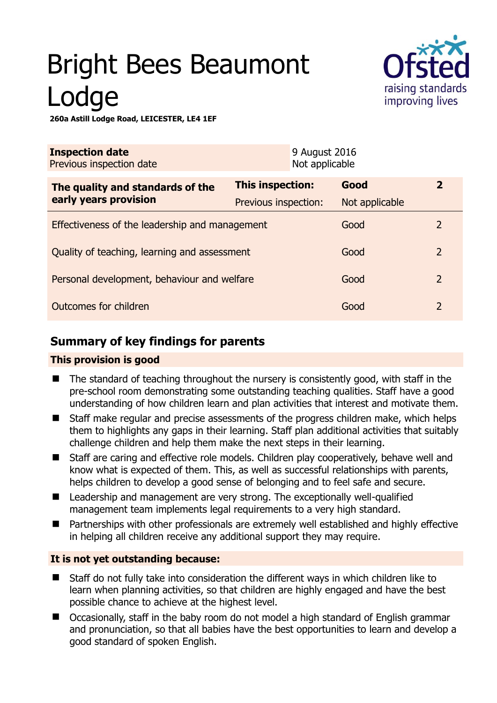# Bright Bees Beaumont Lodge



**260a Astill Lodge Road, LEICESTER, LE4 1EF** 

| <b>Inspection date</b><br>Previous inspection date        |                      | 9 August 2016<br>Not applicable |                |                |
|-----------------------------------------------------------|----------------------|---------------------------------|----------------|----------------|
| The quality and standards of the<br>early years provision | This inspection:     |                                 | Good           | $\overline{2}$ |
|                                                           | Previous inspection: |                                 | Not applicable |                |
| Effectiveness of the leadership and management            |                      |                                 | Good           | $\overline{2}$ |
| Quality of teaching, learning and assessment              |                      |                                 | Good           | $\overline{2}$ |
| Personal development, behaviour and welfare               |                      |                                 | Good           | $\overline{2}$ |
| Outcomes for children                                     |                      |                                 | Good           | $\overline{2}$ |

# **Summary of key findings for parents**

## **This provision is good**

- The standard of teaching throughout the nursery is consistently good, with staff in the pre-school room demonstrating some outstanding teaching qualities. Staff have a good understanding of how children learn and plan activities that interest and motivate them.
- Staff make regular and precise assessments of the progress children make, which helps them to highlights any gaps in their learning. Staff plan additional activities that suitably challenge children and help them make the next steps in their learning.
- Staff are caring and effective role models. Children play cooperatively, behave well and know what is expected of them. This, as well as successful relationships with parents, helps children to develop a good sense of belonging and to feel safe and secure.
- Leadership and management are very strong. The exceptionally well-qualified management team implements legal requirements to a very high standard.
- Partnerships with other professionals are extremely well established and highly effective in helping all children receive any additional support they may require.

## **It is not yet outstanding because:**

- Staff do not fully take into consideration the different ways in which children like to learn when planning activities, so that children are highly engaged and have the best possible chance to achieve at the highest level.
- Occasionally, staff in the baby room do not model a high standard of English grammar and pronunciation, so that all babies have the best opportunities to learn and develop a good standard of spoken English.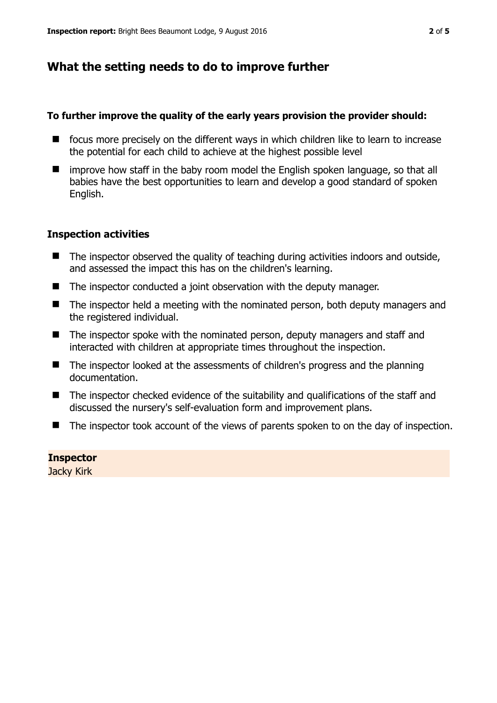# **What the setting needs to do to improve further**

## **To further improve the quality of the early years provision the provider should:**

- focus more precisely on the different ways in which children like to learn to increase the potential for each child to achieve at the highest possible level
- improve how staff in the baby room model the English spoken language, so that all babies have the best opportunities to learn and develop a good standard of spoken English.

## **Inspection activities**

- The inspector observed the quality of teaching during activities indoors and outside, and assessed the impact this has on the children's learning.
- The inspector conducted a joint observation with the deputy manager.
- The inspector held a meeting with the nominated person, both deputy managers and the registered individual.
- The inspector spoke with the nominated person, deputy managers and staff and interacted with children at appropriate times throughout the inspection.
- The inspector looked at the assessments of children's progress and the planning documentation.
- The inspector checked evidence of the suitability and qualifications of the staff and discussed the nursery's self-evaluation form and improvement plans.
- The inspector took account of the views of parents spoken to on the day of inspection.

**Inspector**  Jacky Kirk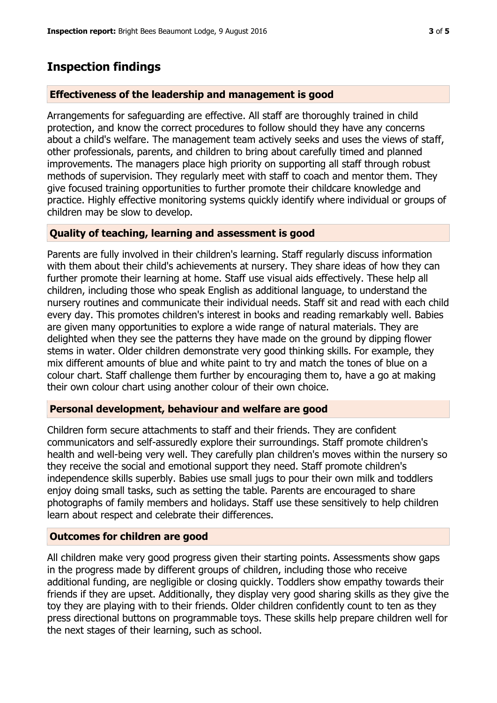## **Inspection findings**

#### **Effectiveness of the leadership and management is good**

Arrangements for safeguarding are effective. All staff are thoroughly trained in child protection, and know the correct procedures to follow should they have any concerns about a child's welfare. The management team actively seeks and uses the views of staff, other professionals, parents, and children to bring about carefully timed and planned improvements. The managers place high priority on supporting all staff through robust methods of supervision. They regularly meet with staff to coach and mentor them. They give focused training opportunities to further promote their childcare knowledge and practice. Highly effective monitoring systems quickly identify where individual or groups of children may be slow to develop.

#### **Quality of teaching, learning and assessment is good**

Parents are fully involved in their children's learning. Staff regularly discuss information with them about their child's achievements at nursery. They share ideas of how they can further promote their learning at home. Staff use visual aids effectively. These help all children, including those who speak English as additional language, to understand the nursery routines and communicate their individual needs. Staff sit and read with each child every day. This promotes children's interest in books and reading remarkably well. Babies are given many opportunities to explore a wide range of natural materials. They are delighted when they see the patterns they have made on the ground by dipping flower stems in water. Older children demonstrate very good thinking skills. For example, they mix different amounts of blue and white paint to try and match the tones of blue on a colour chart. Staff challenge them further by encouraging them to, have a go at making their own colour chart using another colour of their own choice.

#### **Personal development, behaviour and welfare are good**

Children form secure attachments to staff and their friends. They are confident communicators and self-assuredly explore their surroundings. Staff promote children's health and well-being very well. They carefully plan children's moves within the nursery so they receive the social and emotional support they need. Staff promote children's independence skills superbly. Babies use small jugs to pour their own milk and toddlers enjoy doing small tasks, such as setting the table. Parents are encouraged to share photographs of family members and holidays. Staff use these sensitively to help children learn about respect and celebrate their differences.

### **Outcomes for children are good**

All children make very good progress given their starting points. Assessments show gaps in the progress made by different groups of children, including those who receive additional funding, are negligible or closing quickly. Toddlers show empathy towards their friends if they are upset. Additionally, they display very good sharing skills as they give the toy they are playing with to their friends. Older children confidently count to ten as they press directional buttons on programmable toys. These skills help prepare children well for the next stages of their learning, such as school.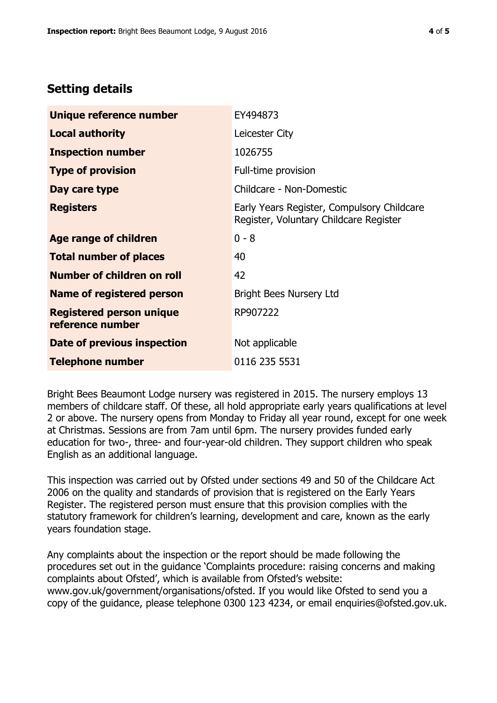# **Setting details**

| Unique reference number                             | EY494873                                                                             |  |
|-----------------------------------------------------|--------------------------------------------------------------------------------------|--|
| <b>Local authority</b>                              | Leicester City                                                                       |  |
| <b>Inspection number</b>                            | 1026755                                                                              |  |
| <b>Type of provision</b>                            | Full-time provision                                                                  |  |
| Day care type                                       | Childcare - Non-Domestic                                                             |  |
| <b>Registers</b>                                    | Early Years Register, Compulsory Childcare<br>Register, Voluntary Childcare Register |  |
| Age range of children                               | $0 - 8$                                                                              |  |
| <b>Total number of places</b>                       | 40                                                                                   |  |
| Number of children on roll                          | 42                                                                                   |  |
| Name of registered person                           | Bright Bees Nursery Ltd                                                              |  |
| <b>Registered person unique</b><br>reference number | RP907222                                                                             |  |
| Date of previous inspection                         | Not applicable                                                                       |  |
| <b>Telephone number</b>                             | 0116 235 5531                                                                        |  |

Bright Bees Beaumont Lodge nursery was registered in 2015. The nursery employs 13 members of childcare staff. Of these, all hold appropriate early years qualifications at level 2 or above. The nursery opens from Monday to Friday all year round, except for one week at Christmas. Sessions are from 7am until 6pm. The nursery provides funded early education for two-, three- and four-year-old children. They support children who speak English as an additional language.

This inspection was carried out by Ofsted under sections 49 and 50 of the Childcare Act 2006 on the quality and standards of provision that is registered on the Early Years Register. The registered person must ensure that this provision complies with the statutory framework for children's learning, development and care, known as the early years foundation stage.

Any complaints about the inspection or the report should be made following the procedures set out in the guidance 'Complaints procedure: raising concerns and making complaints about Ofsted', which is available from Ofsted's website: www.gov.uk/government/organisations/ofsted. If you would like Ofsted to send you a copy of the guidance, please telephone 0300 123 4234, or email enquiries@ofsted.gov.uk.